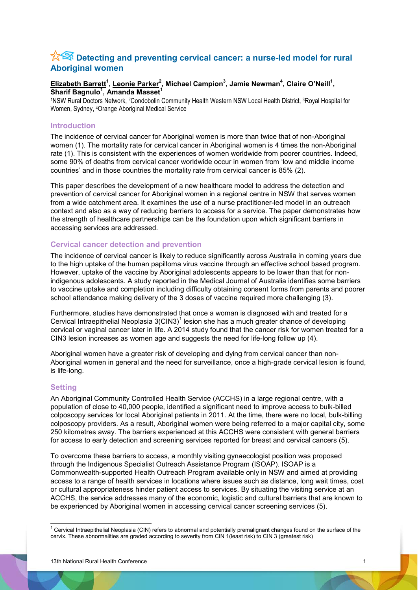# **X<sup>2</sup> Detecting and preventing cervical cancer: a nurse-led model for rural Aboriginal women**

# **Elizabeth Barrett<sup>1</sup> , Leonie Parker2 , Michael Campion<sup>3</sup> , Jamie Newman<sup>4</sup> , Claire O'Neill<sup>1</sup> , Sharif Bagnulo<sup>1</sup> , Amanda Masset<sup>1</sup>**

1NSW Rural Doctors Network, 2Condobolin Community Health Western NSW Local Health District, 3Royal Hospital for Women, Sydney, 4Orange Aboriginal Medical Service

# **Introduction**

The incidence of cervical cancer for Aboriginal women is more than twice that of non-Aboriginal women (1). The mortality rate for cervical cancer in Aboriginal women is 4 times the non-Aboriginal rate (1). This is consistent with the experiences of women worldwide from poorer countries. Indeed, some 90% of deaths from cervical cancer worldwide occur in women from 'low and middle income countries' and in those countries the mortality rate from cervical cancer is 85% (2).

This paper describes the development of a new healthcare model to address the detection and prevention of cervical cancer for Aboriginal women in a regional centre in NSW that serves women from a wide catchment area. It examines the use of a nurse practitioner-led model in an outreach context and also as a way of reducing barriers to access for a service. The paper demonstrates how the strength of healthcare partnerships can be the foundation upon which significant barriers in accessing services are addressed.

## **Cervical cancer detection and prevention**

The incidence of cervical cancer is likely to reduce significantly across Australia in coming years due to the high uptake of the human papilloma virus vaccine through an effective school based program. However, uptake of the vaccine by Aboriginal adolescents appears to be lower than that for nonindigenous adolescents. A study reported in the Medical Journal of Australia identifies some barriers to vaccine uptake and completion including difficulty obtaining consent forms from parents and poorer school attendance making delivery of the 3 doses of vaccine required more challenging (3).

Furthermore, studies have demonstrated that once a woman is diagnosed with and treated for a Cervical Intraepithelial Neoplasia  $3$ (CIN3)<sup>1</sup> lesion she has a much greater chance of developing cervical or vaginal cancer later in life. A 2014 study found that the cancer risk for women treated for a CIN3 lesion increases as women age and suggests the need for life-long follow up (4).

Aboriginal women have a greater risk of developing and dying from cervical cancer than non-Aboriginal women in general and the need for surveillance, once a high-grade cervical lesion is found, is life-long.

### **Setting**

An Aboriginal Community Controlled Health Service (ACCHS) in a large regional centre, with a population of close to 40,000 people, identified a significant need to improve access to bulk-billed colposcopy services for local Aboriginal patients in 2011. At the time, there were no local, bulk-billing colposcopy providers. As a result, Aboriginal women were being referred to a major capital city, some 250 kilometres away. The barriers experienced at this ACCHS were consistent with general barriers for access to early detection and screening services reported for breast and cervical cancers (5).

To overcome these barriers to access, a monthly visiting gynaecologist position was proposed through the Indigenous Specialist Outreach Assistance Program (ISOAP). ISOAP is a Commonwealth-supported Health Outreach Program available only in NSW and aimed at providing access to a range of health services in locations where issues such as distance, long wait times, cost or cultural appropriateness hinder patient access to services. By situating the visiting service at an ACCHS, the service addresses many of the economic, logistic and cultural barriers that are known to be experienced by Aboriginal women in accessing cervical cancer screening services (5).

 $1$  Cervical Intraepithelial Neoplasia (CIN) refers to abnormal and potentially premalignant changes found on the surface of the cervix. These abnormalities are graded according to severity from CIN 1(least risk) to CIN 3 (greatest risk)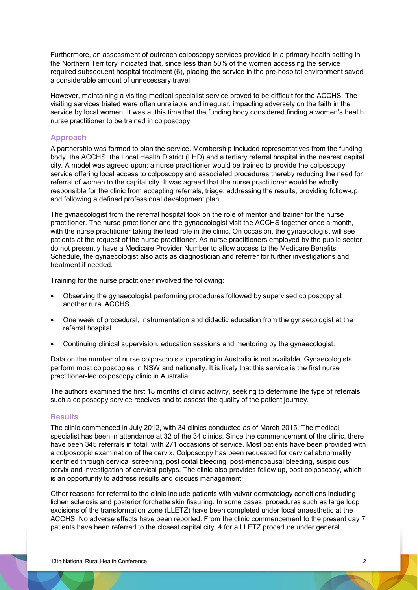Furthermore, an assessment of outreach colposcopy services provided in a primary health setting in the Northern Territory indicated that, since less than 50% of the women accessing the service required subsequent hospital treatment (6), placing the service in the pre-hospital environment saved a considerable amount of unnecessary travel.

However, maintaining a visiting medical specialist service proved to be difficult for the ACCHS. The visiting services trialed were often unreliable and irregular, impacting adversely on the faith in the service by local women. It was at this time that the funding body considered finding a women's health nurse practitioner to be trained in colposcopy.

# **Approach**

A partnership was formed to plan the service. Membership included representatives from the funding body, the ACCHS, the Local Health District (LHD) and a tertiary referral hospital in the nearest capital city. A model was agreed upon: a nurse practitioner would be trained to provide the colposcopy service offering local access to colposcopy and associated procedures thereby reducing the need for referral of women to the capital city. It was agreed that the nurse practitioner would be wholly responsible for the clinic from accepting referrals, triage, addressing the results, providing follow-up and following a defined professional development plan.

The gynaecologist from the referral hospital took on the role of mentor and trainer for the nurse practitioner. The nurse practitioner and the gynaecologist visit the ACCHS together once a month, with the nurse practitioner taking the lead role in the clinic. On occasion, the gynaecologist will see patients at the request of the nurse practitioner. As nurse practitioners employed by the public sector do not presently have a Medicare Provider Number to allow access to the Medicare Benefits Schedule, the gynaecologist also acts as diagnostician and referrer for further investigations and treatment if needed.

Training for the nurse practitioner involved the following:

- Observing the gynaecologist performing procedures followed by supervised colposcopy at another rural ACCHS.
- x One week of procedural, instrumentation and didactic education from the gynaecologist at the referral hospital.
- Continuing clinical supervision, education sessions and mentoring by the gynaecologist.

Data on the number of nurse colposcopists operating in Australia is not available. Gynaecologists perform most colposcopies in NSW and nationally. It is likely that this service is the first nurse practitioner-led colposcopy clinic in Australia.

The authors examined the first 18 months of clinic activity, seeking to determine the type of referrals such a colposcopy service receives and to assess the quality of the patient journey.

### **Results**

The clinic commenced in July 2012, with 34 clinics conducted as of March 2015. The medical specialist has been in attendance at 32 of the 34 clinics. Since the commencement of the clinic, there have been 345 referrals in total, with 271 occasions of service. Most patients have been provided with a colposcopic examination of the cervix. Colposcopy has been requested for cervical abnormality identified through cervical screening, post coital bleeding, post-menopausal bleeding, suspicious cervix and investigation of cervical polyps. The clinic also provides follow up, post colposcopy, which is an opportunity to address results and discuss management.

Other reasons for referral to the clinic include patients with vulvar dermatology conditions including lichen sclerosis and posterior forchette skin fissuring. In some cases, procedures such as large loop excisions of the transformation zone (LLETZ) have been completed under local anaesthetic at the ACCHS. No adverse effects have been reported. From the clinic commencement to the present day 7 patients have been referred to the closest capital city, 4 for a LLETZ procedure under general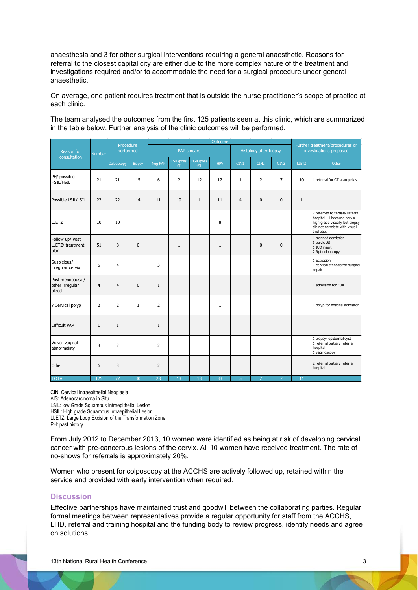anaesthesia and 3 for other surgical interventions requiring a general anaesthetic. Reasons for referral to the closest capital city are either due to the more complex nature of the treatment and investigations required and/or to accommodate the need for a surgical procedure under general anaesthetic.

On average, one patient requires treatment that is outside the nurse practitioner's scope of practice at each clinic.

The team analysed the outcomes from the first 125 patients seen at this clinic, which are summarized in the table below. Further analysis of the clinic outcomes will be performed.

| Reason for<br>consultation                   | <b>Number</b>  | Procedure<br>performed |                 | Outcome           |                          |                          |              |                        |                |                | Further treatment/procedures or |                                                                                                                                               |
|----------------------------------------------|----------------|------------------------|-----------------|-------------------|--------------------------|--------------------------|--------------|------------------------|----------------|----------------|---------------------------------|-----------------------------------------------------------------------------------------------------------------------------------------------|
|                                              |                |                        |                 | <b>PAP</b> smears |                          |                          |              | Histology after biopsy |                |                | investigations proposed         |                                                                                                                                               |
|                                              |                | Colposcopy             | <b>Biopsy</b>   | Neg PAP           | LSIL/poss<br><b>LSIL</b> | HSIL/poss<br><b>HSIL</b> | <b>HPV</b>   | CIN1                   | CIN2           | CIN3           | <b>LLETZ</b>                    | Other                                                                                                                                         |
| PH/ possible<br><b>HSIL/HSIL</b>             | 21             | 21                     | 15              | 6                 | $\overline{2}$           | 12                       | 12           | $\mathbf{1}$           | $\overline{2}$ | $\overline{7}$ | 10                              | 1 referral for CT scan pelvis                                                                                                                 |
| Possible LSIL/LSIL                           | 22             | 22                     | 14              | 11                | 10                       | $\mathbf{1}$             | 11           | $\overline{4}$         | $\Omega$       | $\Omega$       | $\mathbf{1}$                    |                                                                                                                                               |
| <b>LLETZ</b>                                 | 10             | 10                     |                 |                   |                          |                          | 8            |                        |                |                |                                 | 2 referred to tertiary referral<br>hospital - 1 because cervix<br>high grade visually but biopsy<br>did not correlate with visual<br>and pap. |
| Follow up/ Post<br>LLETZ/ treatment<br>plan  | 51             | 8                      | $\mathbf{0}$    |                   | $\mathbf{1}$             |                          | 1            |                        | $\Omega$       | $\mathbf 0$    |                                 | 1 planned admission<br>3 pelvic US<br>1 IUD insert<br>2 Rpt colposcopy                                                                        |
| Suspicious/<br>irregular cervix              | 5              | 4                      |                 | 3                 |                          |                          |              |                        |                |                |                                 | 1 ectropion<br>1 cervical stenosis for surgical<br>repair                                                                                     |
| Post menopausal/<br>other irregular<br>bleed | $\overline{4}$ | $\overline{4}$         | $\mathbf{0}$    | $\mathbf{1}$      |                          |                          |              |                        |                |                |                                 | 1 admission for EUA                                                                                                                           |
| ? Cervical polyp                             | $\overline{2}$ | $\overline{2}$         | $\mathbf{1}$    | $\overline{2}$    |                          |                          | $\mathbf{1}$ |                        |                |                |                                 | 1 polyp for hospital admission                                                                                                                |
| <b>Difficult PAP</b>                         | $\mathbf{1}$   | $\mathbf{1}$           |                 | $\mathbf{1}$      |                          |                          |              |                        |                |                |                                 |                                                                                                                                               |
| Vulvo- vaginal<br>abnormaliity               | 3              | $\overline{2}$         |                 | $\overline{2}$    |                          |                          |              |                        |                |                |                                 | 1 biopsy-epidermal cyst<br>1 referral tertiary referral<br>hospital<br>1 vaginoscopy                                                          |
| Other                                        | 6              | 3                      |                 | $\overline{2}$    |                          |                          |              |                        |                |                |                                 | 2 referral tertiary referral<br>hospital                                                                                                      |
| <b>TOTAL</b>                                 | 125            | $\overline{77}$        | $\overline{30}$ | 28                | $\overline{13}$          | $\overline{13}$          | 33           | $\overline{5}$         | $\overline{2}$ | $\overline{7}$ | 11                              |                                                                                                                                               |

CIN: Cervical Intraepithelial Neoplasia

AIS: Adenocarcinoma in Situ

LSIL: low Grade Squamous Intraepithelial Lesion

HSIL: High grade Squamous Intraepithelial Lesion

LLETZ: Large Loop Excision of the Transformation Zone

PH: past history

From July 2012 to December 2013, 10 women were identified as being at risk of developing cervical cancer with pre-cancerous lesions of the cervix. All 10 women have received treatment. The rate of no-shows for referrals is approximately 20%.

Women who present for colposcopy at the ACCHS are actively followed up, retained within the service and provided with early intervention when required.

### **Discussion**

Effective partnerships have maintained trust and goodwill between the collaborating parties. Regular formal meetings between representatives provide a regular opportunity for staff from the ACCHS, LHD, referral and training hospital and the funding body to review progress, identify needs and agree on solutions.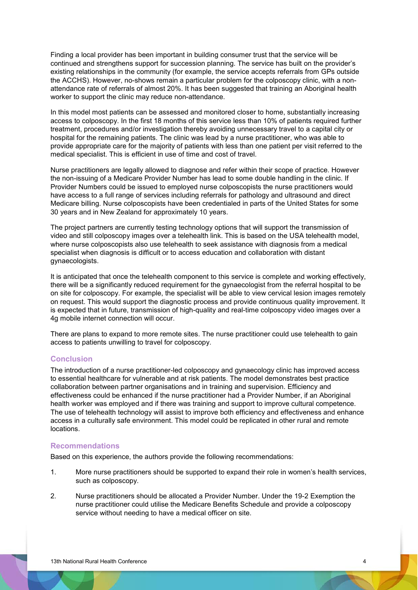Finding a local provider has been important in building consumer trust that the service will be continued and strengthens support for succession planning. The service has built on the provider's existing relationships in the community (for example, the service accepts referrals from GPs outside the ACCHS). However, no-shows remain a particular problem for the colposcopy clinic, with a nonattendance rate of referrals of almost 20%. It has been suggested that training an Aboriginal health worker to support the clinic may reduce non-attendance.

In this model most patients can be assessed and monitored closer to home, substantially increasing access to colposcopy. In the first 18 months of this service less than 10% of patients required further treatment, procedures and/or investigation thereby avoiding unnecessary travel to a capital city or hospital for the remaining patients. The clinic was lead by a nurse practitioner, who was able to provide appropriate care for the majority of patients with less than one patient per visit referred to the medical specialist. This is efficient in use of time and cost of travel.

Nurse practitioners are legally allowed to diagnose and refer within their scope of practice. However the non-issuing of a Medicare Provider Number has lead to some double handling in the clinic. If Provider Numbers could be issued to employed nurse colposcopists the nurse practitioners would have access to a full range of services including referrals for pathology and ultrasound and direct Medicare billing. Nurse colposcopists have been credentialed in parts of the United States for some 30 years and in New Zealand for approximately 10 years.

The project partners are currently testing technology options that will support the transmission of video and still colposcopy images over a telehealth link. This is based on the USA telehealth model, where nurse colposcopists also use telehealth to seek assistance with diagnosis from a medical specialist when diagnosis is difficult or to access education and collaboration with distant gynaecologists.

It is anticipated that once the telehealth component to this service is complete and working effectively, there will be a significantly reduced requirement for the gynaecologist from the referral hospital to be on site for colposcopy. For example, the specialist will be able to view cervical lesion images remotely on request. This would support the diagnostic process and provide continuous quality improvement. It is expected that in future, transmission of high-quality and real-time colposcopy video images over a 4g mobile internet connection will occur.

There are plans to expand to more remote sites. The nurse practitioner could use telehealth to gain access to patients unwilling to travel for colposcopy.

## **Conclusion**

The introduction of a nurse practitioner-led colposcopy and gynaecology clinic has improved access to essential healthcare for vulnerable and at risk patients. The model demonstrates best practice collaboration between partner organisations and in training and supervision. Efficiency and effectiveness could be enhanced if the nurse practitioner had a Provider Number, if an Aboriginal health worker was employed and if there was training and support to improve cultural competence. The use of telehealth technology will assist to improve both efficiency and effectiveness and enhance access in a culturally safe environment. This model could be replicated in other rural and remote locations.

#### **Recommendations**

Based on this experience, the authors provide the following recommendations:

- 1. More nurse practitioners should be supported to expand their role in women's health services, such as colposcopy.
- 2. Nurse practitioners should be allocated a Provider Number. Under the 19-2 Exemption the nurse practitioner could utilise the Medicare Benefits Schedule and provide a colposcopy service without needing to have a medical officer on site.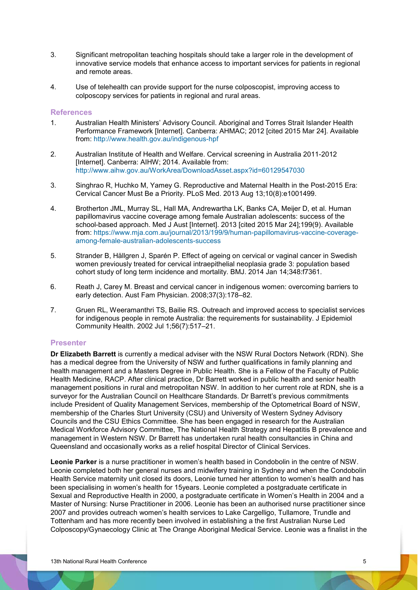- 3. Significant metropolitan teaching hospitals should take a larger role in the development of innovative service models that enhance access to important services for patients in regional and remote areas.
- 4. Use of telehealth can provide support for the nurse colposcopist, improving access to colposcopy services for patients in regional and rural areas.

#### **References**

- 1. Australian Health Ministers' Advisory Council. Aboriginal and Torres Strait Islander Health Performance Framework [Internet]. Canberra: AHMAC; 2012 [cited 2015 Mar 24]. Available from:<http://www.health.gov.au/indigenous-hpf>
- 2. Australian Institute of Health and Welfare. Cervical screening in Australia 2011-2012 [Internet]. Canberra: AIHW; 2014. Available from: <http://www.aihw.gov.au/WorkArea/DownloadAsset.aspx?id=60129547030>
- 3. Singhrao R, Huchko M, Yamey G. Reproductive and Maternal Health in the Post-2015 Era: Cervical Cancer Must Be a Priority. PLoS Med. 2013 Aug 13;10(8):e1001499.
- 4. Brotherton JML, Murray SL, Hall MA, Andrewartha LK, Banks CA, Meijer D, et al. Human papillomavirus vaccine coverage among female Australian adolescents: success of the school-based approach. Med J Aust [Internet]. 2013 [cited 2015 Mar 24];199(9). Available from: [https://www.mja.com.au/journal/2013/199/9/human-papillomavirus-vaccine-coverage](https://www.mja.com.au/journal/2013/199/9/human-papillomavirus-vaccine-coverage-among-female-australian-adolescents-success)[among-female-australian-adolescents-success](https://www.mja.com.au/journal/2013/199/9/human-papillomavirus-vaccine-coverage-among-female-australian-adolescents-success)
- 5. Strander B, Hällgren J, Sparén P. Effect of ageing on cervical or vaginal cancer in Swedish women previously treated for cervical intraepithelial neoplasia grade 3: population based cohort study of long term incidence and mortality. BMJ. 2014 Jan 14;348:f7361.
- 6. Reath J, Carey M. Breast and cervical cancer in indigenous women: overcoming barriers to early detection. Aust Fam Physician. 2008;37(3):178–82.
- 7. Gruen RL, Weeramanthri TS, Bailie RS. Outreach and improved access to specialist services for indigenous people in remote Australia: the requirements for sustainability. J Epidemiol Community Health. 2002 Jul 1;56(7):517–21.

### **Presenter**

**Dr Elizabeth Barrett** is currently a medical adviser with the NSW Rural Doctors Network (RDN). She has a medical degree from the University of NSW and further qualifications in family planning and health management and a Masters Degree in Public Health. She is a Fellow of the Faculty of Public Health Medicine, RACP. After clinical practice, Dr Barrett worked in public health and senior health management positions in rural and metropolitan NSW. In addition to her current role at RDN, she is a surveyor for the Australian Council on Healthcare Standards. Dr Barrett's previous commitments include President of Quality Management Services, membership of the Optometrical Board of NSW, membership of the Charles Sturt University (CSU) and University of Western Sydney Advisory Councils and the CSU Ethics Committee. She has been engaged in research for the Australian Medical Workforce Advisory Committee, The National Health Strategy and Hepatitis B prevalence and management in Western NSW. Dr Barrett has undertaken rural health consultancies in China and Queensland and occasionally works as a relief hospital Director of Clinical Services.

**Leonie Parker** is a nurse practitioner in women's health based in Condobolin in the centre of NSW. Leonie completed both her general nurses and midwifery training in Sydney and when the Condobolin Health Service maternity unit closed its doors, Leonie turned her attention to women's health and has been specialising in women's health for 15years. Leonie completed a postgraduate certificate in Sexual and Reproductive Health in 2000, a postgraduate certificate in Women's Health in 2004 and a Master of Nursing: Nurse Practitioner in 2006. Leonie has been an authorised nurse practitioner since 2007 and provides outreach women's health services to Lake Cargelligo, Tullamore, Trundle and Tottenham and has more recently been involved in establishing a the first Australian Nurse Led Colposcopy/Gynaecology Clinic at The Orange Aboriginal Medical Service. Leonie was a finalist in the